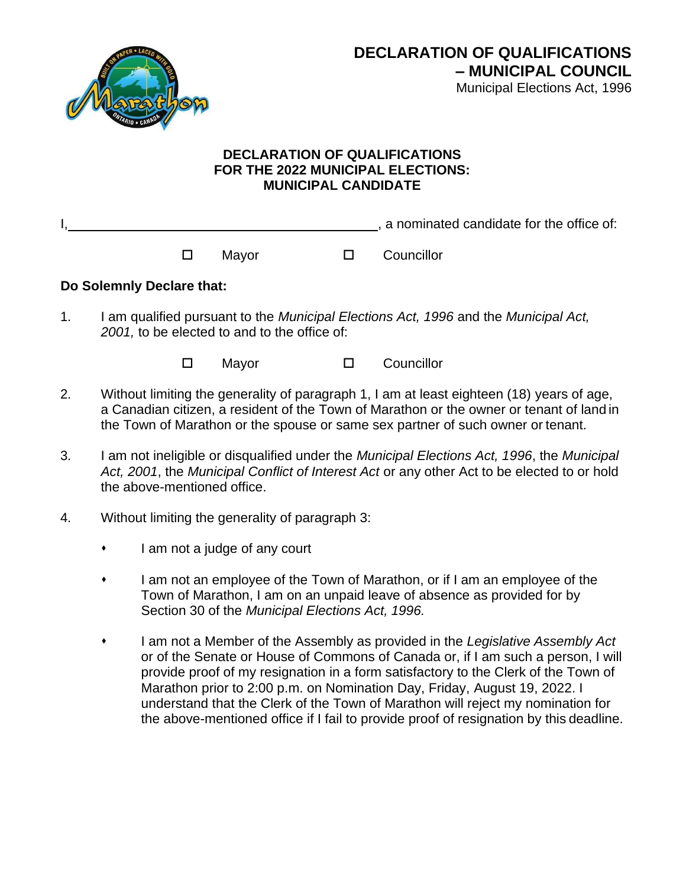

## **DECLARATION OF QUALIFICATIONS FOR THE 2022 MUNICIPAL ELECTIONS: MUNICIPAL CANDIDATE**

. a nominated candidate for the office of:

□ Mayor □ Councillor

## **Do Solemnly Declare that:**

1. I am qualified pursuant to the *Municipal Elections Act, 1996* and the *Municipal Act, 2001,* to be elected to and to the office of:

□ Mayor □ Councillor

- 2. Without limiting the generality of paragraph 1, I am at least eighteen (18) years of age, a Canadian citizen, a resident of the Town of Marathon or the owner or tenant of land in the Town of Marathon or the spouse or same sex partner of such owner or tenant.
- 3. I am not ineligible or disqualified under the *Municipal Elections Act, 1996*, the *Municipal Act, 2001*, the *Municipal Conflict of Interest Act* or any other Act to be elected to or hold the above-mentioned office.
- 4. Without limiting the generality of paragraph 3:
	- ⬧ I am not a judge of any court
	- ⬧ I am not an employee of the Town of Marathon, or if I am an employee of the Town of Marathon, I am on an unpaid leave of absence as provided for by Section 30 of the *Municipal Elections Act, 1996.*
	- ⬧ I am not a Member of the Assembly as provided in the *Legislative Assembly Act*  or of the Senate or House of Commons of Canada or, if I am such a person, I will provide proof of my resignation in a form satisfactory to the Clerk of the Town of Marathon prior to 2:00 p.m. on Nomination Day, Friday, August 19, 2022. I understand that the Clerk of the Town of Marathon will reject my nomination for the above-mentioned office if I fail to provide proof of resignation by this deadline.